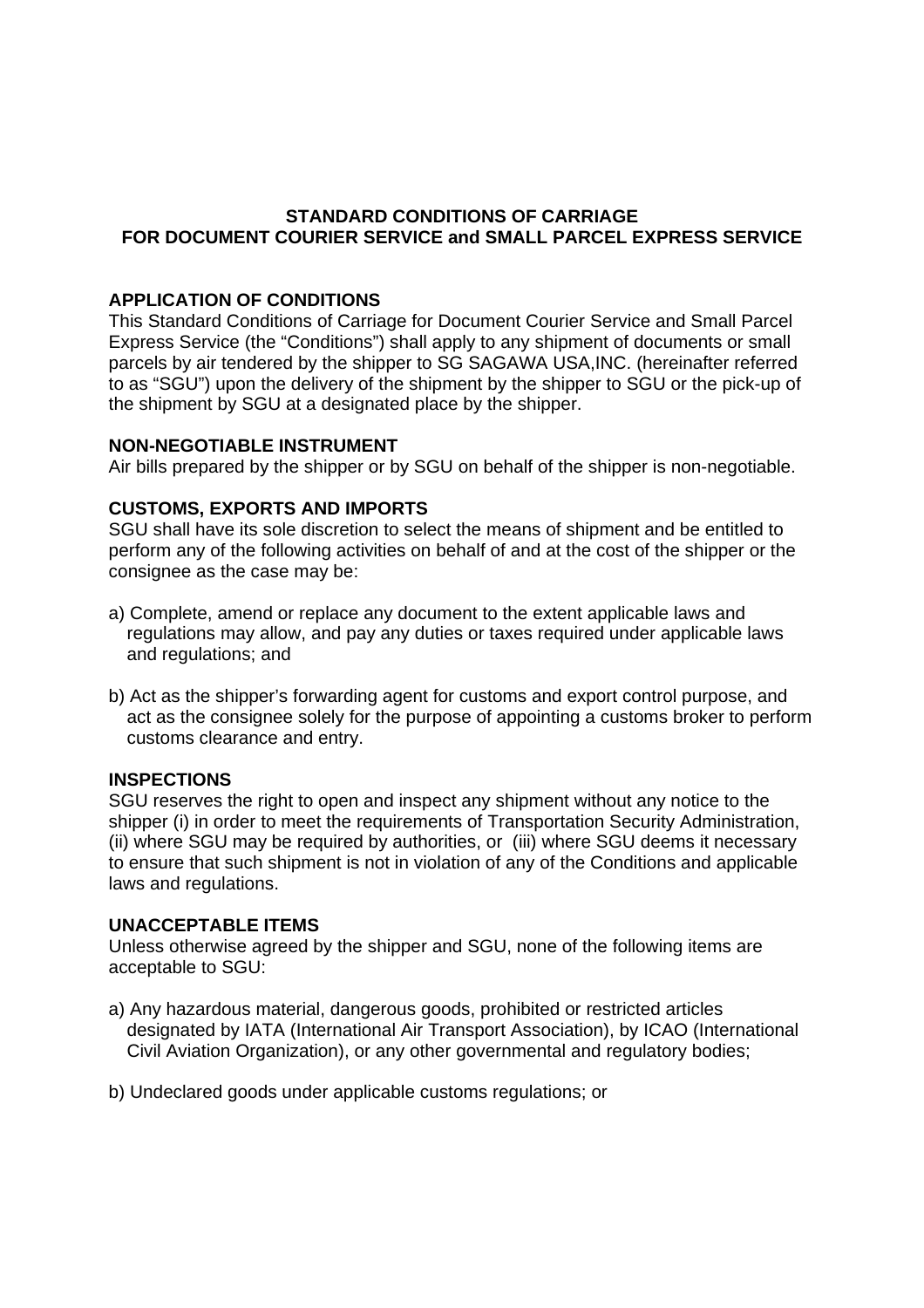# **STANDARD CONDITIONS OF CARRIAGE FOR DOCUMENT COURIER SERVICE and SMALL PARCEL EXPRESS SERVICE**

# **APPLICATION OF CONDITIONS**

This Standard Conditions of Carriage for Document Courier Service and Small Parcel Express Service (the "Conditions") shall apply to any shipment of documents or small parcels by air tendered by the shipper to SG SAGAWA USA,INC. (hereinafter referred to as "SGU") upon the delivery of the shipment by the shipper to SGU or the pick-up of the shipment by SGU at a designated place by the shipper.

### **NON-NEGOTIABLE INSTRUMENT**

Air bills prepared by the shipper or by SGU on behalf of the shipper is non-negotiable.

# **CUSTOMS, EXPORTS AND IMPORTS**

SGU shall have its sole discretion to select the means of shipment and be entitled to perform any of the following activities on behalf of and at the cost of the shipper or the consignee as the case may be:

- a) Complete, amend or replace any document to the extent applicable laws and regulations may allow, and pay any duties or taxes required under applicable laws and regulations; and
- b) Act as the shipper's forwarding agent for customs and export control purpose, and act as the consignee solely for the purpose of appointing a customs broker to perform customs clearance and entry.

### **INSPECTIONS**

SGU reserves the right to open and inspect any shipment without any notice to the shipper (i) in order to meet the requirements of Transportation Security Administration, (ii) where SGU may be required by authorities, or (iii) where SGU deems it necessary to ensure that such shipment is not in violation of any of the Conditions and applicable laws and regulations.

### **UNACCEPTABLE ITEMS**

Unless otherwise agreed by the shipper and SGU, none of the following items are acceptable to SGU:

- a) Any hazardous material, dangerous goods, prohibited or restricted articles designated by IATA (International Air Transport Association), by ICAO (International Civil Aviation Organization), or any other governmental and regulatory bodies;
- b) Undeclared goods under applicable customs regulations; or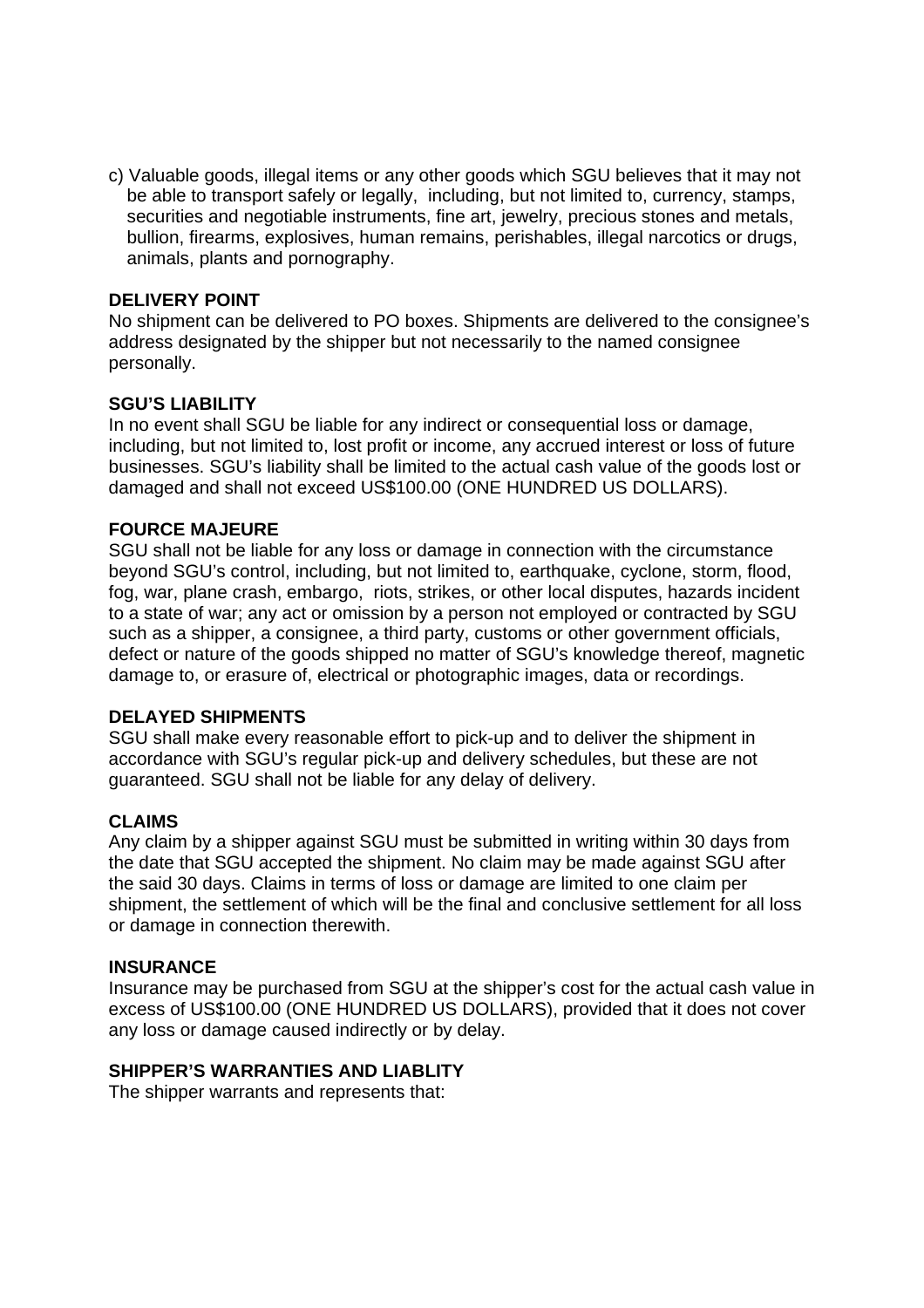c) Valuable goods, illegal items or any other goods which SGU believes that it may not be able to transport safely or legally, including, but not limited to, currency, stamps, securities and negotiable instruments, fine art, jewelry, precious stones and metals, bullion, firearms, explosives, human remains, perishables, illegal narcotics or drugs, animals, plants and pornography.

## **DELIVERY POINT**

No shipment can be delivered to PO boxes. Shipments are delivered to the consignee's address designated by the shipper but not necessarily to the named consignee personally.

### **SGU'S LIABILITY**

In no event shall SGU be liable for any indirect or consequential loss or damage, including, but not limited to, lost profit or income, any accrued interest or loss of future businesses. SGU's liability shall be limited to the actual cash value of the goods lost or damaged and shall not exceed US\$100.00 (ONE HUNDRED US DOLLARS).

### **FOURCE MAJEURE**

SGU shall not be liable for any loss or damage in connection with the circumstance beyond SGU's control, including, but not limited to, earthquake, cyclone, storm, flood, fog, war, plane crash, embargo, riots, strikes, or other local disputes, hazards incident to a state of war; any act or omission by a person not employed or contracted by SGU such as a shipper, a consignee, a third party, customs or other government officials, defect or nature of the goods shipped no matter of SGU's knowledge thereof, magnetic damage to, or erasure of, electrical or photographic images, data or recordings.

### **DELAYED SHIPMENTS**

SGU shall make every reasonable effort to pick-up and to deliver the shipment in accordance with SGU's regular pick-up and delivery schedules, but these are not guaranteed. SGU shall not be liable for any delay of delivery.

### **CLAIMS**

Any claim by a shipper against SGU must be submitted in writing within 30 days from the date that SGU accepted the shipment. No claim may be made against SGU after the said 30 days. Claims in terms of loss or damage are limited to one claim per shipment, the settlement of which will be the final and conclusive settlement for all loss or damage in connection therewith.

### **INSURANCE**

Insurance may be purchased from SGU at the shipper's cost for the actual cash value in excess of US\$100.00 (ONE HUNDRED US DOLLARS), provided that it does not cover any loss or damage caused indirectly or by delay.

### **SHIPPER'S WARRANTIES AND LIABLITY**

The shipper warrants and represents that: